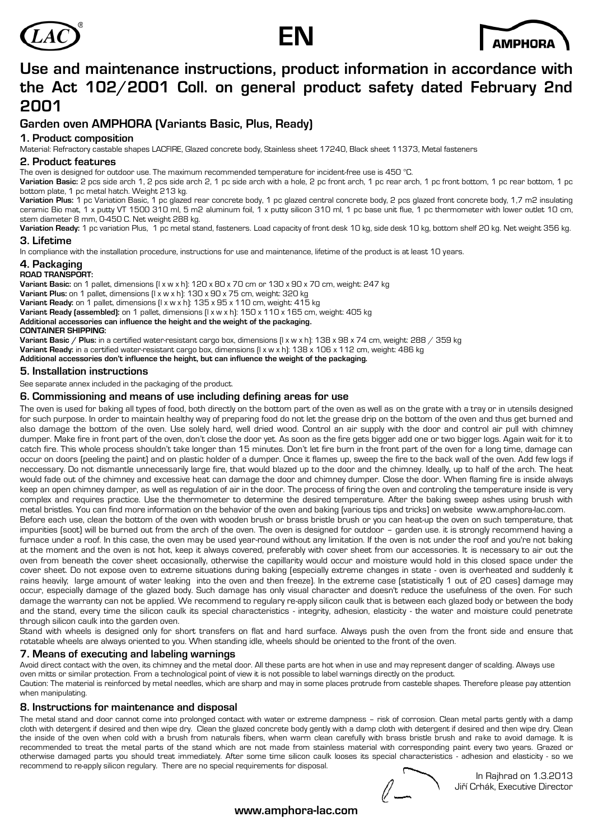



# **Use and maintenance instructions, product information in accordance with the Act 102/2001 Coll. on general product safety dated February 2nd 2001**

## **Garden oven AMPHORA (Variants Basic, Plus, Ready)**

### **1. Product composition**

Material: Refractory castable shapes LACFIRE, Glazed concrete body, Stainless sheet 17240, Black sheet 11373, Metal fasteners

### **2. Product features**

The oven is designed for outdoor use. The maximum recommended temperature for incident-free use is 450 °C.

**Variation Basic:** 2 pcs side arch 1, 2 pcs side arch 2, 1 pc side arch with a hole, 2 pc front arch, 1 pc rear arch, 1 pc front bottom, 1 pc rear bottom, 1 pc bottom plate, 1 pc metal hatch. Weight 213 kg.

**Variation Plus:** 1 pc Variation Basic, 1 pc glazed rear concrete body, 1 pc glazed central concrete body, 2 pcs glazed front concrete body, 1,7 m2 insulating ceramic Bio mat, 1 x putty VT 1500 310 ml, 5 m2 aluminum foil, 1 x putty silicon 310 ml, 1 pc base unit flue, 1 pc thermometer with lower outlet 10 cm,

stem diameter 8 mm, 0-450 C. Net weight 288 kg.<br>**Variation Ready**: 1 pc variation Plus, 1 pc metal stand, fasteners. Load capacity of front desk 10 kg, side desk 10 kg, bottom shelf 20 kg. Net weight 356 kg. **3. Lifetime** 

In compliance with the installation procedure, instructions for use and maintenance, lifetime of the product is at least 10 years.

### **4. Packaging**

#### **ROAD TRANSPORT:**

**Variant Basic:** on 1 pallet, dimensions (l x w x h): 120 x 80 x 70 cm or 130 x 90 x 70 cm, weight: 247 kg **Variant Plus:** on 1 pallet, dimensions (l x w x h): 130 x 90 x 75 cm, weight: 320 kg **Variant Ready:** on 1 pallet, dimensions (l x w x h): 135 x 95 x 110 cm, weight: 415 kg **Variant Ready (assembled):** on 1 pallet, dimensions (l x w x h): 150 x 110 x 165 cm, weight: 405 kg **Additional accessories can influence the height and the weight of the packaging. CONTAINER SHIPPING:**

**Variant Basic / Plus:** in a certified water-resistant cargo box, dimensions (l x w x h): 138 x 98 x 74 cm, weight: 288 / 359 kg **Variant Ready:** in a certified water-resistant cargo box, dimensions (l x w x h): 138 x 106 x 112 cm, weight: 486 kg

**Additional accessories don't influence the height, but can influence the weight of the packaging.**

#### **5. Installation instructions**

See separate annex included in the packaging of the product.

#### **6. Commissioning and means of use including defining areas for use**

The oven is used for baking all types of food, both directly on the bottom part of the oven as well as on the grate with a tray or in utensils designed for such purpose. In order to maintain healthy way of preparing food do not let the grease drip on the bottom of the oven and thus get burned and also damage the bottom of the oven. Use solely hard, well dried wood. Control an air supply with the door and control air pull with chimney dumper. Make fire in front part of the oven, don't close the door yet. As soon as the fire gets bigger add one or two bigger logs. Again wait for it to catch fire. This whole process shouldn't take longer than 15 minutes. Don't let fire burn in the front part of the oven for a long time, damage can occur on doors (peeling the paint) and on plastic holder of a dumper. Once it flames up, sweep the fire to the back wall of the oven. Add few logs if neccessary. Do not dismantle unnecessarily large fire, that would blazed up to the door and the chimney. Ideally, up to half of the arch. The heat would fade out of the chimney and excessive heat can damage the door and chimney dumper. Close the door. When flaming fire is inside always keep an open chimney damper, as well as regulation of air in the door. The process of firing the oven and controling the temperature inside is very complex and requires practice. Use the thermometer to determine the desired temperature. After the baking sweep ashes using brush with metal bristles. You can find more information on the behavior of the oven and baking (various tips and tricks) on website www.amphora-lac.com.

Before each use, clean the bottom of the oven with wooden brush or brass bristle brush or you can heat-up the oven on such temperature, that impurities (soot) will be burned out from the arch of the oven. The oven is designed for outdoor – garden use. it is strongly recommend having a furnace under a roof. In this case, the oven may be used year-round without any limitation. If the oven is not under the roof and you're not baking at the moment and the oven is not hot, keep it always covered, preferably with cover sheet from our accessories. It is necessary to air out the oven from beneath the cover sheet occasionally, otherwise the capillarity would occur and moisture would hold in this closed space under the cover sheet. Do not expose oven to extreme situations during baking (especially extreme changes in state - oven is overheated and suddenly it rains heavily; large amount of water leaking into the oven and then freeze). In the extreme case (statistically 1 out of 20 cases) damage may occur, especially damage of the glazed body. Such damage has only visual character and doesn't reduce the usefulness of the oven. For such damage the warranty can not be applied. We recommend to regulary re-apply silicon caulk that is between each glazed body or between the body and the stand, every time the silicon caulk its special characteristics - integrity, adhesion, elasticity - the water and moisture could penetrate through silicon caulk into the garden oven.

Stand with wheels is designed only for short transfers on flat and hard surface. Always push the oven from the front side and ensure that rotatable wheels are always oriented to you. When standing idle, wheels should be oriented to the front of the oven.

### **7. Means of executing and labeling warnings**

Avoid direct contact with the oven, its chimney and the metal door. All these parts are hot when in use and may represent danger of scalding. Always use oven mitts or similar protection. From a technological point of view it is not possible to label warnings directly on the product.

Caution: The material is reinforced by metal needles, which are sharp and may in some places protrude from casteble shapes. Therefore please pay attention when manipulating.

### **8. Instructions for maintenance and disposal**

The metal stand and door cannot come into prolonged contact with water or extreme dampness – risk of corrosion. Clean metal parts gently with a damp cloth with detergent if desired and then wipe dry. Clean the glazed concrete body gently with a damp cloth with detergent if desired and then wipe dry. Clean the inside of the oven when cold with a brush from naturals fibers, when warm clean carefully with brass bristle brush and rake to avoid damage. It is recommended to treat the metal parts of the stand which are not made from stainless material with corresponding paint every two years. Grazed or otherwise damaged parts you should treat immediately. After some time silicon caulk looses its special characteristics - adhesion and elasticity - so we recommend to re-apply silicon regulary. There are no special requirements for disposal.

In Rajhrad on 1.3.2013 Jiří Crhák, Executive Director

### **www.amphora-lac.com**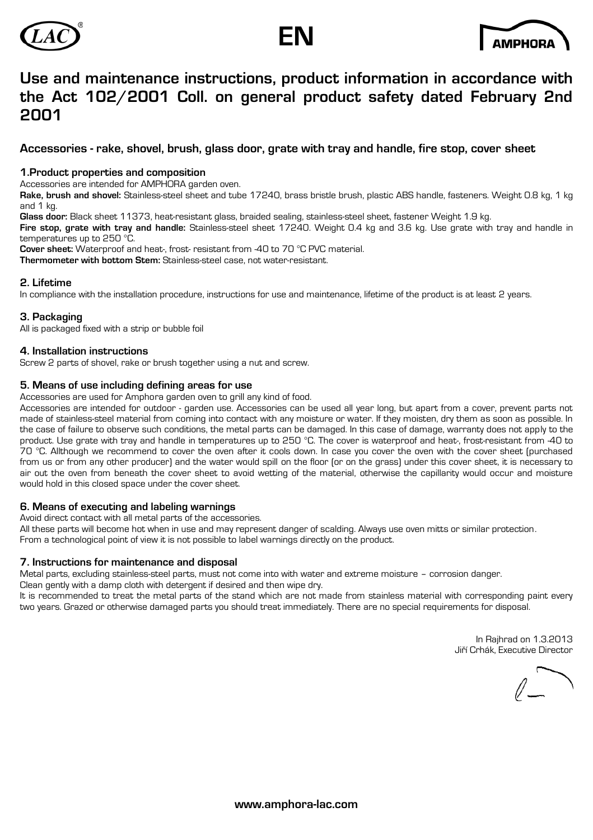





# **Use and maintenance instructions, product information in accordance with the Act 102/2001 Coll. on general product safety dated February 2nd 2001**

### **Accessories - rake, shovel, brush, glass door, grate with tray and handle, fire stop, cover sheet**

### **1.Product properties and composition**

Accessories are intended for AMPHORA garden oven.

**Rake, brush and shovel:** Stainless-steel sheet and tube 17240, brass bristle brush, plastic ABS handle, fasteners. Weight 0.8 kg, 1 kg and 1 kg.

**Glass door:** Black sheet 11373, heat-resistant glass, braided sealing, stainless-steel sheet, fastener Weight 1.9 kg. **Fire stop, grate with tray and handle:** Stainless-steel sheet 17240. Weight 0.4 kg and 3.6 kg. Use grate with tray and handle in temperatures up to 250 °C.

**Cover sheet:** Waterproof and heat-, frost- resistant from -40 to 70 °C PVC material. **Thermometer with bottom Stem:** Stainless-steel case, not water-resistant.

### **2. Lifetime**

In compliance with the installation procedure, instructions for use and maintenance, lifetime of the product is at least 2 years.

### **3. Packaging**

All is packaged fixed with a strip or bubble foil

### **4. Installation instructions**

Screw 2 parts of shovel, rake or brush together using a nut and screw.

### **5. Means of use including defining areas for use**

Accessories are used for Amphora garden oven to grill any kind of food.

Accessories are intended for outdoor - garden use. Accessories can be used all year long, but apart from a cover, prevent parts not made of stainless-steel material from coming into contact with any moisture or water. If they moisten, dry them as soon as possible. In the case of failure to observe such conditions, the metal parts can be damaged. In this case of damage, warranty does not apply to the product. Use grate with tray and handle in temperatures up to 250 °C. The cover is waterproof and heat-, frost-resistant from -40 to 70 °C. Allthough we recommend to cover the oven after it cools down. In case you cover the oven with the cover sheet (purchased from us or from any other producer) and the water would spill on the floor (or on the grass) under this cover sheet, it is necessary to air out the oven from beneath the cover sheet to avoid wetting of the material, otherwise the capillarity would occur and moisture would hold in this closed space under the cover sheet.

### **6. Means of executing and labeling warnings**

Avoid direct contact with all metal parts of the accessories.

All these parts will become hot when in use and may represent danger of scalding. Always use oven mitts or similar protection. From a technological point of view it is not possible to label warnings directly on the product.

### **7. Instructions for maintenance and disposal**

Metal parts, excluding stainless-steel parts, must not come into with water and extreme moisture – corrosion danger. Clean gently with a damp cloth with detergent if desired and then wipe dry.

It is recommended to treat the metal parts of the stand which are not made from stainless material with corresponding paint every two years. Grazed or otherwise damaged parts you should treat immediately. There are no special requirements for disposal.

> In Rajhrad on 1.3.2013 Jiří Crhák, Executive Director